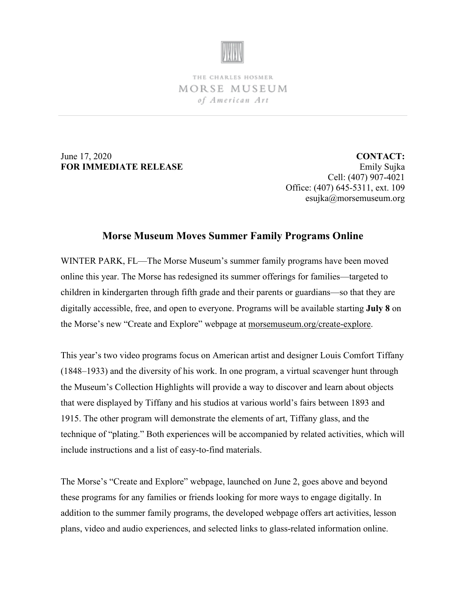

THE CHARLES HOSMER MORSE MUSEUM of American Art

June 17, 2020 **FOR IMMEDIATE RELEASE**

**CONTACT:** Emily Sujka Cell: (407) 907-4021 Office: (407) 645-5311, ext. 109 esujka@morsemuseum.org

## **Morse Museum Moves Summer Family Programs Online**

WINTER PARK, FL—The Morse Museum's summer family programs have been moved online this year. The Morse has redesigned its summer offerings for families—targeted to children in kindergarten through fifth grade and their parents or guardians—so that they are digitally accessible, free, and open to everyone. Programs will be available starting **July 8** on the Morse's new "Create and Explore" webpage at [morsemuseum.org/create-explore.](http://www.morsemuseum.org/create-explore)

This year's two video programs focus on American artist and designer Louis Comfort Tiffany (1848–1933) and the diversity of his work. In one program, a virtual scavenger hunt through the Museum's Collection Highlights will provide a way to discover and learn about objects that were displayed by Tiffany and his studios at various world's fairs between 1893 and 1915. The other program will demonstrate the elements of art, Tiffany glass, and the technique of "plating." Both experiences will be accompanied by related activities, which will include instructions and a list of easy-to-find materials.

The Morse's "Create and Explore" webpage, launched on June 2, goes above and beyond these programs for any families or friends looking for more ways to engage digitally. In addition to the summer family programs, the developed webpage offers art activities, lesson plans, video and audio experiences, and selected links to glass-related information online.